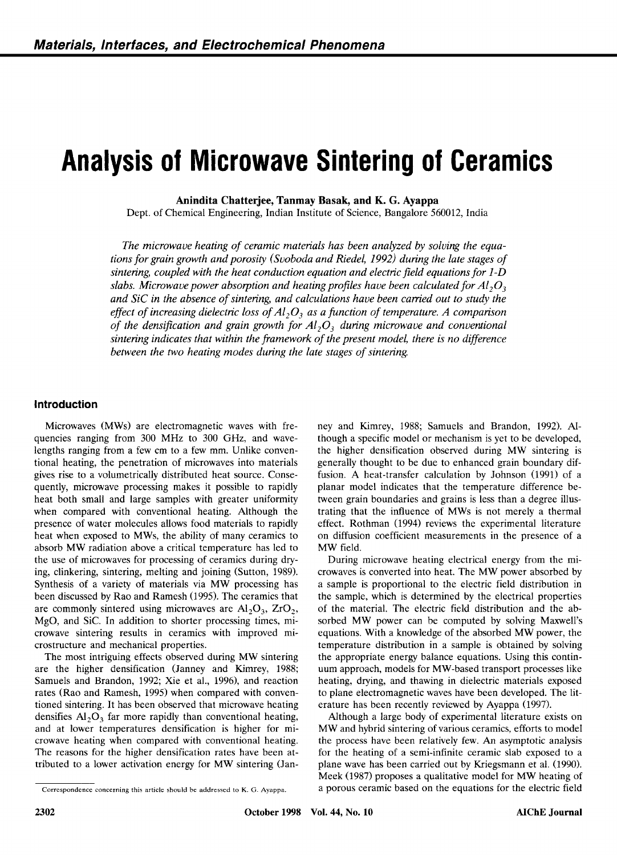# **Analysis of Microwave Sintering of Ceramics**  Ceramics<br><sub>0012, India</sub> amics<br>amics

**Anindita Chatterjee, Tanmay Basak, and K. G. Ayappa** 

Dept. of Chemical Engineering, Indian Institute of Science, Bangalore 560012, India

*tions for grain growth and porosity (Svoboda and Riedel, 1992) during the late stages of The microwave heating of ceramic materials has been analyzed by solving the equasintering, coupled with the heat conduction equation and electric field equations for 1 -D slabs. Microwave power absorption and heating profiles have been calculated for . and SiC in the absence of sintering, and calculations have been carried out to study the effect of increasing dielectric loss of*  **A1,03**  *as a function of temperature.*  **A** *comparison Alia*<br>*Alges of*<br>*Or 1-D*<br>*Al<sub>2</sub>O<sub>3</sub><br>ady the<br><i>Algester of the densification and grain growth for Al,O, during microwave and conventional sintering, coupled with and porosity (Svoboda and Riedel, 1992) during the late stages of sintering, coupled with the heat conduction equation and electric field equations for 1-D slabs. Microwave power absorption and he between the two heating modes during the late stages of sintering.* 

### **Introduction**

Microwaves (MWs) are electromagnetic waves with frequencies ranging from 300 MHz to 300 GHz, and wavelengths ranging from a few cm to a few mm. Unlike conventional heating, the penetration of microwaves into materials gives rise to a volumetrically distributed heat source. Consequently, microwave processing makes it possible to rapidly heat both small and large samples with greater uniformity when compared with conventional heating. Although the presence of water molecules allows food materials to rapidly heat when exposed to MWs, the ability of many ceramics to absorb MW radiation above a critical temperature has led to the use of microwaves for processing of ceramics during drying, clinkering, sintering, melting and joining (Sutton, 1989). Synthesis of a variety of materials via MW processing has been discussed by Rao and Ramesh (1995). The ceramics that are commonly sintered using microwaves are **A1,0,,** ZrO,, MgO, and Sic. In addition to shorter processing times, microwave sintering results in ceramics with improved microstructure and mechanical properties.

The most intriguing effects observed during MW sintering are the higher densification (Janney and Kimrey, 1988; Samuels and Brandon, 1992; Xie et al., 1996), and reaction rates (Rao and Ramesh, 1995) when compared with conventioned sintering. It has been observed that microwave heating Extracture and mechanical properties. The most intriguing effects observed during MW sintering<br>The most intriguing effects observed during MW sintering<br>the appropriate energy balance equations. Using this contin-<br>are the h and at lower temperatures densification is higher for microwave heating when compared with conventional heating. The reasons for the higher densification rates have been attributed to a lower activation energy for MW sintering (Jan-

ney and Kimrey, 1988; Samuels and Brandon, 1992). Although a specific model or mechanism is yet to be developed, the higher densification observed during MW sintering is generally thought to be due to enhanced grain boundary diffusion. **A** heat-transfer calculation by Johnson (1991) of a planar model indicates that the temperature difference between grain boundaries and grains is less than a degree illustrating that the influence of MWs is not merely a thermal effect. Rothman (1994) reviews the experimental literature on diffusion coefficient measurements in the presence of a MW field.

During microwave heating electrical energy from the microwaves is converted into heat. The MW power absorbed by a sample is proportional to the electric field distribution in the sample, which is determined by the electrical properties of the material. The electric field distribution and the absorbed MW power can be computed by solving Maxwell's equations. With a knowledge of the absorbed MW power, the temperature distribution in a sample is obtained by solving the appropriate energy balance equations. Using this continuum approach, models for MW-based transport processes like heating, drying, and thawing in dielectric materials exposed to plane electromagnetic waves have been developed. The literature has been recently reviewed by Ayappa (1997).

Correspondence concerning this article should be addressed to *K*. G. Ayappa.<br>
Correspondence concerning this article should be addressed to *K*. G. Ayappa.<br>
Correspondence concerning this article should be addressed t Although a large body of experimental literature exists on MW and hybrid sintering of various ceramics, efforts to model the process have been relatively few. **An** asymptotic analysis for the heating of a semi-infinite ceramic slab exposed to a plane wave has been carried out by Kriegsmann et al. (1990). Meek (1987) proposes a qualitative model for MW heating of a porous ceramic based on the equations for the electric field

**zyxwvutsrqponmlkjihgfedcbaZYXWVUTSRQPONMLKJIHGFEDCBA**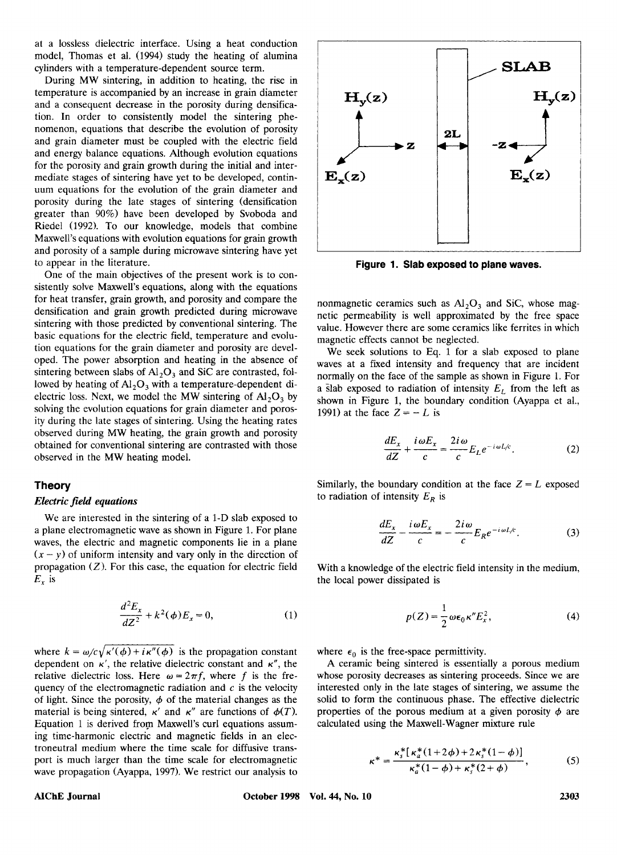at a lossless dielectric interface. Using a heat conduction model, Thomas et al. (1994) study the heating of alumina cylinders with a temperature-dependent source term.

During MW sintering, in addition to heating, the rise in temperature is accompanied by an increase in grain diameter and a consequent decrease in the porosity during densification. In order to consistently model the sintering phenomenon, equations that describe the evolution of porosity and grain diameter must be coupled with the electric field and energy balance equations. Although evolution equations for the porosity and grain growth during the initial and intermediate stages of sintering have yet to be developed, continuum equations for the evolution of the grain diameter and porosity during the late stages of sintering (densification greater than 90%) have been developed by Svoboda and Riedel (1992). To our knowledge, models that combine Maxwell's equations with evolution equations for grain growth and porosity of a sample during microwave sintering have yet to appear in the literature.

One of the main objectives of the present work is to consistently solve Maxwell's equations, along with the equations for heat transfer, grain growth, and porosity and compare the densification and grain growth predicted during microwave sintering with those predicted by conventional sintering. The basic equations for the electric field, temperature and evolution equations for the grain diameter and porosity are developed. The power absorption and heating in the absence of sintering between slabs of  $Al_2O_3$  and SiC are contrasted, folsistentity sove maxwell sequations, along with the equations<br>for heat transfer, grain growth, and porosity and compare the<br>densification and grain growth predicted during microwave<br>sintering with those predicted by conven lowed by heating of *Al,O,* with a temperature-dependent dielectric loss. Next, we model the MW sintering of *Al,O,* by solving the evolution equations for grain diameter and porosity during the late stages of sintering. Using the heating rates observed during MW heating, the grain growth and porosity obtained for conventional sintering are contrasted with those lowed by heating of Al<sub>2</sub>O<sub>3</sub> with a temperature-dependent di-<br>
electric loss. Next, we model the MW sintering of Al<sub>2</sub>O<sub>3</sub> by<br>
electric loss. Next, we model the MW sintering of Al<sub>2</sub>O<sub>3</sub> by<br>
shown in Figure 1, the bounda

# **Theory**

#### *Electric field equations*

We are interested in the sintering of a I-D slab exposed to a plane electromagnetic wave as shown in Figure 1. For plane waves, the electric and magnetic components lie in a plane  $E_x$  is  $(x - y)$  of uniform intensity and vary only in the direction of<br>propagation (*Z*). For this case, the equation for electric field<br> $E_x$  is<br> $\frac{d^2 E_x}{dz^2} + k^2(\phi)E_x = 0,$  (1) waves, the electric and magnetic components lie in a pla<br> $(x - y)$  of uniform intensity and vary only in the direction ctric field equations<br>
We are interested in the sintering of a 1-D slab exposed to<br>
lane electromagnetic wave as shown in Figure 1. For plane<br>
es, the electric and magnetic components lie in a plane<br>
y) of uniform intensi

$$
\frac{d^2E_x}{dZ^2} + k^2(\phi)E_x = 0,
$$
 (1)

where  $k = \omega/c\sqrt{\kappa'(\phi) + i\kappa''(\phi)}$  is the propagation constant dependent on  $\kappa'$ , the relative dielectric constant and  $\kappa''$ , the  $\frac{d^2E_x}{dZ^2} + k^2(\phi)E_x = 0$ , (1)  $p(Z) = \frac{1}{2}\omega\epsilon_0\kappa''E_x^2$ , (4)<br>where  $k = \omega/c\sqrt{\kappa'(\phi) + i\kappa''(\phi)}$  is the propagation constant where  $\epsilon_0$  is the free-space permittivity.<br>dependent on  $\kappa'$ , the relative dielectric const quency of the electromagnetic radiation and  $c$  is the velocity of light. Since the porosity,  $\phi$  of the material changes as the material is being sintered, **K'** and **K''** are functions of  $\phi(T)$ . Equation 1 is derived from Maxwell's curl equations assuming time-harmonic electric and magnetic fields in an electroneutral medium where the time scale for diffusive transport is much larger than the time scale for electromagnetic wave propagation (Ayappa, 1997). We restrict our analysis



**Figure 1. Slab exposed to plane waves.** 

nonmagnetic ceramics such as  $Al_2O_3$  and SiC, whose magnetic permeability is well approximated by the free space value. However there are some ceramics like ferrites in which magnetic effects cannot be neglected.

We seek solutions to Eq. 1 for a slab exposed to plane waves at a fixed intensity and frequency that are incident normally on the face of the sample as shown in Figure I. For a slab exposed to radiation of intensity  $E_L$  from the left as shown in Figure **1,** the boundary condition (Ayappa et al., 1991) at the face  $Z = -L$  is

$$
\frac{dE_x}{dZ} + \frac{i\omega E_x}{c} = \frac{2i\omega}{c} E_L e^{-i\omega L/c}.
$$
 (2)

Similarly, the boundary condition at the face  $Z = L$  exposed<br>to radiation of intensity  $E_R$  is<br>to<br>ne<br> $\frac{dE_x}{dZ} - \frac{i\omega E_x}{c} = -\frac{2i\omega}{c} E_R e^{-i\omega L/c}$ . (3)<br>of<br>ld With a knowledge of the electric field intensity in the medium Similarly, the boundary condition at the face  $Z = L$  exposed to radiation of intensity  $E_R$  is

$$
\frac{dE_x}{dZ} - \frac{i\,\omega E_x}{c} = -\frac{2i\,\omega}{c} E_R e^{-i\,\omega L/c}.\tag{3}
$$

With a knowledge of the electric field intensity in the medium, the local power dissipated is

$$
p(Z) = \frac{1}{2} \omega \epsilon_0 \kappa'' E_x^2, \qquad (4)
$$

where  $\epsilon_0$  is the free-space permittivity.

solid to form the continuous phase. The effective dielectric<br>  $\therefore$  properties of the porous medium at a given porosity  $\phi$  are<br>
c-<br>
c-<br>  $\kappa^* = \frac{\kappa_s^* [\kappa_a^* (1 + 2\phi) + 2\kappa_s^* (1 - \phi)]}{\kappa_a^* (1 - \phi) + \kappa_s^* (2 + \phi)}$ , (5)<br>
98 Vo A ceramic being sintered is essentially a porous medium whose porosity decreases as sintering proceeds. Since we are interested only in the late stages of sintering, we assume the solid to form the continuous phase. The effective dielectric properties of the porous medium at a given porosity  $\phi$  are calculated using the Maxwell-Wagner mixture rule

Calculate a using the Maxwell-Wagner mixture rule

\n
$$
\kappa^* = \frac{\kappa_s^* [\kappa_a^* (1 + 2\phi) + 2\kappa_s^* (1 - \phi)]}{\kappa_a^* (1 - \phi) + \kappa_s^* (2 + \phi)},
$$
\n(5)

\nVol. 44, No. 10

\n2303

### **AIChE Journal**

**October 1998**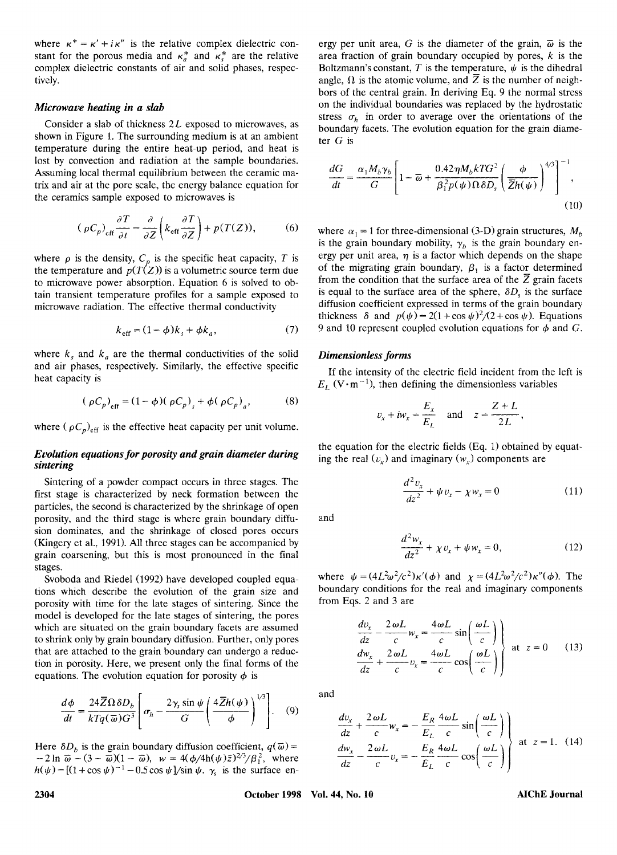where  $\kappa^* = \kappa' + i\kappa''$  is the relative complex dielectric con-<br>stant for the pronus media and  $\kappa_a^*$  and  $\kappa_s^*$  are the relative area fraction of grain boundary occupied by pores, k is the<br>patternation of grain  $\kappa$ where  $\kappa^* = \kappa' + i\kappa''$  is the relative complex dielectric con-<br>stant for the porous media and  $\kappa_a^*$  and  $\kappa_s^*$  are the relative area fraction of grain boundary occupied by pores, k is the<br>complex dielectric constan complex dielectric constants of air and solid phases, respec-

#### *Microwave heating*

Consider a slab of thickness 2L exposed to microwaves, as shown in Figure 1. The surrounding medium is at an ambient temperature during the entire heat-up period, and heat is lost by convection and radiation at the sample boundaries. Assuming local thermal equilibrium between the ceramic matrix and air at the pore scale, the energy balance equation for the ceramics sample exposed to microwaves is

$$
(\rho C_p)_{\text{eff}} \frac{\partial T}{\partial t} = \frac{\partial}{\partial Z} \left( k_{\text{eff}} \frac{\partial T}{\partial Z} \right) + p(T(Z)), \tag{6}
$$

the temperature and  $p(T(Z))$  is a volumetric source term due to microwave power absorption. Equation 6 is solved to obtain transient temperature profiles for a sample exposed to microwave radiation. The effective thermal conductivity

$$
k_{\text{eff}} = (1 - \phi)k_s + \phi k_a, \tag{7}
$$

where  $k<sub>s</sub>$  and  $k<sub>a</sub>$  are the thermal conductivities of the solid and air phases, respectively. Similarly, the effective specific heat capacity is

$$
(\rho C_p)_{\text{eff}} = (1 - \phi)(\rho C_p)_{s} + \phi(\rho C_p)_{a},
$$
 (8)

where ( $\rho C_p$ )<sub>eff</sub> is the effective heat capacity per unit volume.

# *Evolution equations for porosity and grain diameter during sintering*

Sintering of a powder compact occurs in three stages. The first stage is characterized by neck formation between the particles, the second is characterized by the shrinkage of open porosity, and the third stage is where grain boundary diffusion dominates, and the shrinkage of closed pores occurs (Kingery et al., 1991). All three stages can be accompanied by grain coarsening, but this is most pronounced in the final stages.

Svoboda and Riedel (1992) have developed coupled equations which describe the evolution of the grain size and porosity with time for the late stages of sintering. Since the model is developed for the late stages of sintering, the pores which are situated on the grain boundary facets are assumed to shrink only by grain boundary diffusion. Further, only pores that are attached to the grain boundary can undergo a reduction in porosity. Here, we present only the final forms of the equations. The evolution equation for porosity  $\phi$  is

$$
\frac{d\phi}{dt} = \frac{24\overline{Z}\Omega\,\delta D_b}{kTq(\overline{\omega})G^3} \left[\sigma_h - \frac{2\gamma_s\sin\psi}{G}\left(\frac{4\overline{Z}h(\psi)}{\phi}\right)^{1/3}\right].
$$
 (9)

Here  $\delta D_b$  is the grain boundary diffusion coefficient,  $q(\overline{\omega}) = -2 \ln \overline{\omega} - (3 - \overline{\omega})(1 - \overline{\omega})$ ,  $w = 4(\phi/4h(\psi)\overline{z})^{2/3}/\beta_1^2$ , where  $h(\psi) = [(1+\cos\psi)^{-1} - 0.5\cos\psi]/\sin\psi$ .  $\gamma_s$  is the surface en-

where  $\kappa^* = \kappa' + i\kappa''$  is the relative complex dielectric con-<br>stant for the porous media and  $\kappa_a^*$  and  $\kappa_s^*$  are the relative<br>complex dielectric constants of air and solid phases, respec-<br>Boltzmann's constant, *T* ergy per unit area, G is the diameter of the grain,  $\overline{\omega}$  is the area fraction of grain boundary occupied by pores, *k* is the Boltzmann's constant,  $T$  is the temperature,  $\psi$  is the dihedral angle,  $\Omega$  is the atomic volume, and  $\overline{Z}$  is the number of neighbors of the central grain. In deriving Eq. 9 the normal stress on the individual boundaries was replaced by the hydrostatic ergy per unit area, G is the diameter of the grain,  $\overline{\omega}$  is the area fraction of grain boundary occupied by pores, k is the Boltzmann's constant, T is the temperature,  $\psi$  is the dihedral angle,  $\Omega$  is the atomic vo boundary facets. The evolution equation for the grain diameter *G* is

$$
\frac{dG}{dt} = \frac{\alpha_1 M_b \gamma_b}{G} \left[ 1 - \overline{\omega} + \frac{0.42 \eta M_b k T G^2}{\beta_1^2 p(\psi) \Omega \delta D_s} \left( \frac{\phi}{\overline{Z} h(\psi)} \right)^{4/3} \right]^{-1},\tag{10}
$$

trix and air at the pore scale, the energy balance equation for  $\mu$  *df*  $\mu$  *B*<sub>1</sub><sup>2</sup> $\rho$ ( $\mu$ )  $\Omega$ *bD<sub>s</sub>*  $\left(Zh(\psi)\right)$  (h)  $\left(\rho C_p\right)_{\text{eff}} \frac{\partial T}{\partial t} = \frac{\partial}{\partial Z} \left(k_{\text{eff}} \frac{\partial T}{\partial Z}\right) + p(T(Z))$ , (6) where  $\alpha_1 = 1$  for three where  $\alpha_1 = 1$  for three-dimensional (3-D) grain structures,  $M_b$ is the grain boundary mobility,  $\gamma_b$  is the grain boundary energy per unit area,  $\eta$  is a factor which depends on the shape of the migrating grain boundary,  $\beta_1$  is a factor determined from the condition that the surface area of the  $\overline{Z}$  grain facets is equal to the surface area of the sphere,  $\delta D_s$  is the surface diffusion coefficient expressed in terms of the grain boundary thickness  $\delta$  and  $p(\psi) = 2(1 + \cos \psi)^2/(2 + \cos \psi)$ . Equations ergy per unit area,  $\eta$  is a factor which depends on the shape<br>of the migrating grain boundary,  $\beta_1$  is a factor determined<br>from the condition that the surface area of the  $\overline{Z}$  grain facets<br>is equal to the surface

### *Dimensionless forms*

 $E_L$  (V $\cdot$ m<sup>-1</sup>), then defining the dimensionless variables If the intensity of the electric field incident from the left is

$$
v_x + iw_x = \frac{E_x}{E_L} \quad \text{and} \quad z = \frac{Z + L}{2L},
$$

the equation for the electric fields (Eq. 1) obtained by equation<br> *d* <sup>2</sup>  $v_x$  and imaginary ( $w_x$ ) components are<br>  $\frac{d^2 v_x}{dz^2} + \psi v_x - \chi w_x = 0$  (11) ing the real  $(v<sub>r</sub>)$  and imaginary  $(w<sub>r</sub>)$  components are

$$
\frac{d^2 v_x}{dz^2} + \psi v_x - \chi w_x = 0 \tag{11}
$$

and

$$
\frac{d^2 w_x}{dz^2} + \psi v_x - \chi w_x = 0
$$
 (11)  

$$
\frac{d^2 w_x}{dz^2} + \chi v_x + \psi w_x = 0,
$$
 (12)

where  $\psi = (4L^2\omega^2/c^2)\kappa'(\phi)$  and  $\chi = (4L^2\omega^2/c^2)\kappa''(\phi)$ . The boundary conditions for the real and imaginary components from Eqs. 2 and 3 are

$$
\psi = (4L^2 \omega^2/c^2) \kappa'(\phi) \text{ and } \chi = (4L^2 \omega^2/c^2) \kappa''(\phi). \text{ The}
$$
  
ry conditions for the real and imaginary components  
qs. 2 and 3 are  

$$
\frac{dv_x}{dz} - \frac{2 \omega L}{c} w_x = \frac{4 \omega L}{c} \sin\left(\frac{\omega L}{c}\right)
$$

$$
\frac{dw_x}{dz} + \frac{2 \omega L}{c} v_x = \frac{4 \omega L}{c} \cos\left(\frac{\omega L}{c}\right)
$$
at  $z = 0$  (13)

and

$$
\frac{d\phi}{dt} = \frac{24\overline{Z}\Omega \delta D_b}{kTq(\overline{\omega})G^3} \left[ \sigma_h - \frac{2\gamma_s \sin \psi}{G} \left( \frac{4\overline{Z}h(\psi)}{\phi} \right)^{1/3} \right].
$$
\n(9)\n
$$
\frac{dv_x}{dz} + \frac{2\omega L}{c} w_x = -\frac{E_R}{E_L} \frac{4\omega L}{c} \sin \left( \frac{\omega L}{c} \right)
$$
\nHere  $\delta D_b$  is the grain boundary diffusion coefficient,  $q(\overline{\omega}) = -2\ln \overline{\omega} - (3 - \overline{\omega})(1 - \overline{\omega})$ ,  $w = 4(\phi/4h(\psi)\overline{z})^{2/3}/\beta_1^2$ , where\n
$$
h(\psi) = [(1 + \cos \psi)^{-1} - 0.5 \cos \psi] / \sin \psi.
$$
\n $\gamma_s$  is the surface en-\n
$$
2304
$$
\nOctober 1998 Vol. 44, No. 10\n\n
$$
AIChE Journal
$$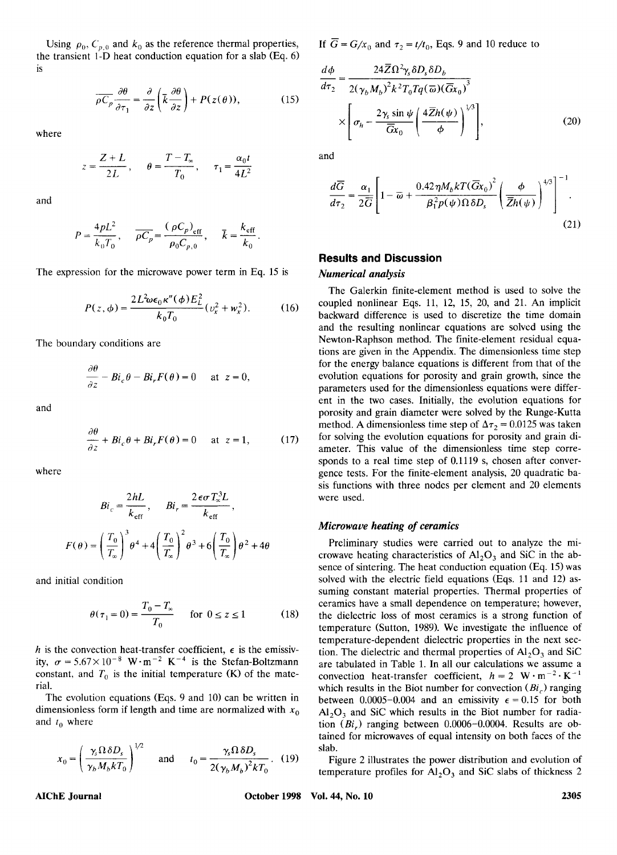Using  $\rho_0$ ,  $C_{p,0}$  and  $k_0$  as the reference thermal properties, If  $\overline{G} = G/x_0$  and  $\tau_2 = t/t_0$ , Eqs. 9 and 10 reduce to <br>e transient 1-D heat conduction equation for a slab (Eq. 6) the transient I-D heat conduction equation for a slab (Eq. 6) is

$$
\overline{\rho C_p} \frac{\partial \theta}{\partial \tau_1} = \frac{\partial}{\partial z} \left( \overline{k} \frac{\partial \theta}{\partial z} \right) + P(z(\theta)), \tag{15}
$$

where

$$
z = \frac{Z + L}{2L}, \quad \theta = \frac{T - T_{\infty}}{T_0}, \quad \tau_1 = \frac{\alpha_0 t}{4L^2}
$$

and

$$
P = \frac{4pL^2}{k_0T_0}, \quad \overline{\rho C_p} = \frac{(\rho C_p)_{\text{eff}}}{\rho_0 C_{p,0}}, \quad \overline{k} = \frac{k_{\text{eff}}}{k_0}.
$$

The expression for the microwave power term in Eq. 15 is

$$
P(z, \phi) = \frac{2L^2 \omega \epsilon_0 \kappa''(\phi) E_L^2}{k_0 T_0} (v_x^2 + w_x^2).
$$
 (16)

The boundary conditions are

$$
\frac{\partial \theta}{\partial z} - Bi_c \theta - Bi_r F(\theta) = 0 \quad \text{at } z = 0,
$$

$$
\frac{\partial \theta}{\partial z} + Bi_c \theta + Bi_r F(\theta) = 0 \quad \text{at } z = 1,
$$
 (17)

where

$$
Bi_c = \frac{2hL}{k_{\text{eff}}}, \qquad Bi_r = \frac{2\epsilon\sigma T_{\infty}^3 L}{k_{\text{eff}}},
$$

$$
F(\theta) = \left(\frac{T_0}{T_{\infty}}\right)^3 \theta^4 + 4\left(\frac{T_0}{T_{\infty}}\right)^2 \theta^3 + 6\left(\frac{T_0}{T_{\infty}}\right)\theta^2 + 4\theta
$$

and initial condition

$$
\theta(\tau_1 = 0) = \frac{T_0 - T_{\infty}}{T_0} \quad \text{for } 0 \le z \le 1 \tag{18}
$$

constant, and  $T_0$  is the initial temperature (K) of the material.

The evolution equations **(Eqs.** 9 and 10) can be written in dimensionless form if length and time are normalized with  $x_0$ and  $t_0$  where

$$
x_0 = \left(\frac{\gamma_s \Omega \,\delta D_s}{\gamma_b M_b k T_0}\right)^{1/2} \quad \text{and} \quad t_0 = \frac{\gamma_s \Omega \,\delta D_s}{2(\gamma_b M_b)^2 k T_0} \,. \tag{19}
$$

If  $\overline{G} = G/x_0$  and  $\tau_2 = t/t_0$ , Eqs. 9 and 10 reduce to

$$
\frac{d\phi}{d\tau_{2}} = \frac{24\overline{Z}\Omega^{2}\gamma_{s}\delta D_{s}\delta D_{b}}{2(\gamma_{b}M_{b})^{2}k^{2}T_{0}Tq(\overline{\omega})(\overline{G}x_{0})^{3}} \times \left[\sigma_{h} - \frac{2\gamma_{s}\sin\psi}{\overline{G}x_{0}}\left(\frac{4\overline{Z}h(\psi)}{\phi}\right)^{1/3}\right],
$$
\n(20)\n
$$
z = \frac{Z + L}{2L}, \quad \theta = \frac{T - T_{\infty}}{T_{0}}, \quad \tau_{1} = \frac{\alpha_{0}t}{4L^{2}}
$$
\nand\n
$$
\frac{d\phi}{d\overline{G}} = \alpha_{1}\left[\frac{2\gamma_{s}\sin\psi}{1-\overline{G}x_{0}}\left(\frac{4\overline{Z}h(\psi)}{\phi}\right)^{1/3}\right],
$$
\n(21)

$$
\frac{d\overline{G}}{d\tau_2} = \frac{\alpha_1}{2\overline{G}} \left[ 1 - \overline{\omega} + \frac{0.42\eta M_b k T (\overline{G}x_0)^2}{\beta_1^2 p(\psi)\Omega \delta D_s} \left( \frac{\phi}{\overline{Z}h(\psi)} \right)^{4/3} \right]^{-1}.
$$
\n(21)

# **Results and Discussion**

#### *Numerical analysis*

The boundary conditions are<br> **Example 19 and**<br>  $\frac{\partial \theta}{\partial z} - Bi_c \theta - Bi_r F(\theta) = 0$  at  $z = 0$ ,<br>
and<br>  $\frac{\partial \theta}{\partial t} = 0$  at  $\frac{\partial \theta}{\partial t} = 0$  at  $\frac{\partial \theta}{\partial t} = 0$  at  $\frac{\partial \theta}{\partial t} = 0$  at  $\frac{\partial \theta}{\partial t} = 0$  at  $\frac{\partial \theta}{\partial t} = 0$  at  $\frac{\partial \theta}{$ The Galerkin finite-element method is used to solve the coupled nonlinear Eqs. 11, 12, 15, 20, and 21. **An** implicit backward difference is used to discretize the time domain and the resulting nonlinear equations are solved using the Newton-Raphson method. The finite-element residual equations are given in the Appendix. The dimensionless time step for the energy balance equations is different from that of the evolution equations for porosity and grain growth, since the parameters used for the dimensionless equations were different in the two cases. Initially, the evolution equations for porosity and grain diameter were solved by the Runge-Kutta method. A dimensionless time step of  $\Delta \tau_2 = 0.0125$  was taken for solving the evolution equations for porosity and grain diameter. This value of the dimensionless time step corresponds to a real time step of 0.1119 s, chosen after convergence tests. For the finite-element analysis, 20 quadratic basis functions with three nodes per element and 20 elements were used.

# *Microwave heating of ceramics*

and initial condition<br> **and initial condition**<br> **h**is the convection heat-transfer coefficient,  $\epsilon$  is the emissiv-<br> **his the convection heat-transfer coefficient,**  $\epsilon$  **is the emissiv-<br>
<b>his the convection heat-transfer** suming constant material properties. Thermal properties of<br>  $\theta(\tau_1 = 0) = \frac{T_0 - T_s}{T_0}$  for  $0 \le z \le 1$  (18) the dielectric loss of most ceramics is a strong function of<br>
temperature (Sutton, 1989). We investigate the influ Preliminary studies were carried out to analyze the microwave heating characteristics of  $A1_2O_3$  and SiC in the absence of sintering. The heat conduction equation (Eq. 15) was solved with the electric field equations (Eqs. 11 and 12) assuming constant material properties. Thermal properties of ceramics have a small dependence on temperature; however, the dielectric loss of most ceramics is a strong function of temperature (Sutton, 1989). We investigate the influence of temperature-dependent dielectric properties in the next section. The dielectric and thermal properties of  $Al_2O_3$  and SiC are tabulated in Table 1. In all our calculations we assume a convection heat-transfer coefficient,  $h = 2 \text{ W} \cdot \text{m}^{-2} \cdot \text{K}^{-1}$ <br>which results in the Biot number for convection (*Bi<sub>c</sub>*) ranging the dielectric loss of most ceramics is a strong function of<br>temperature (Sutton, 1989). We investigate the influence of<br>temperature-dependent dielectric properties in the next sec-<br>tion. The dielectric and thermal proper between 0.0005-0.004 and an emissivity  $\epsilon = 0.15$  for both  $Al_2O_3$  and SiC which results in the Biot number for radiation **(Bi,)** ranging between 0.0006-0.0004. Results are obtained for microwaves of equal intensity on both faces of the slab.

Figure 2 illustrates the power distribution and evolution of temperature profiles for  $A_{2}O_{3}$  and SiC slabs of thickness 2

**AIChE Journal October 1998 Vol. 44, No. 10 2305**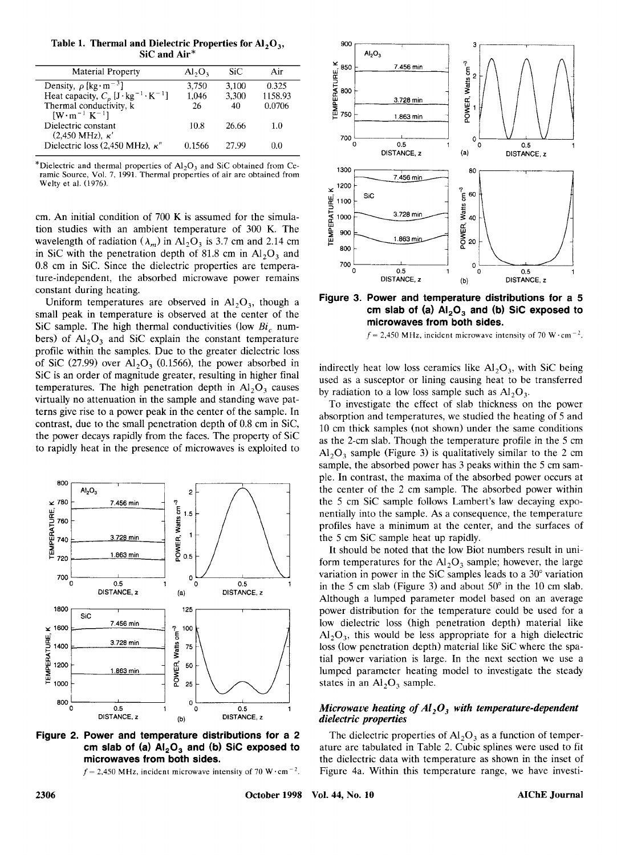Table 1. Thermal and Dielectric Properties for Al<sub>2</sub>O<sub>3</sub>,<br>SiC and Air<sup>\*</sup>

| <b>Material Property</b>                                                                                                                          | $Al_2O_3$ | SiC   | Air     |
|---------------------------------------------------------------------------------------------------------------------------------------------------|-----------|-------|---------|
| Density, $\rho$ [kg·m <sup>-3</sup> ]                                                                                                             | 3,750     | 3,100 | 0.325   |
|                                                                                                                                                   | 1,046     | 3,300 | 1158.93 |
| Heat capacity, $C_p$ [J·kg <sup>-1</sup> ·K <sup>-1</sup> ]<br>Thermal conductivity, k<br>$\left[\text{W}\cdot\text{m}^{-1}\text{ K}^{-1}\right]$ | 26        | 40    | 0.0706  |
| Dielectric constant<br>$(2,450 \text{ MHz}), \kappa'$                                                                                             | 10.8      | 26.66 | 1.0     |
| Dielectric loss (2,450 MHz), $\kappa$ "                                                                                                           | 0 1566    | 27.99 | 0 O     |

\*Dielectric and thermal properties of **A1,0,** and **SIC** obtained from Ceramic Source, Vol. 7, 1991. Thermal properties of air are obtained from Welty et al. (1976).

cm. **An** initial condition of 700 **K** is assumed for the simulation studies with an ambient temperature of 300 **K.** The wavelength of radiation  $(\lambda_m)$  in  $Al_2O_3$  is 3.7 cm and 2.14 cm in SiC with the penetration depth of 81.8 cm in  $Al_2O_3$  and 0.8 cm in Sic. Since the dielectric properties are temperature-independent, the absorbed microwave power remains constant during heating.

Uniform temperatures are observed in  $Al_2O_3$ , though a small peak in temperature is observed at the center of the Sol sample. The high thermal conductivities are temperature and temperature independent, the absorbed microwave power remains<br>
Uniform temperatures are observed in Al<sub>2</sub>O<sub>3</sub>, though a<br>
Sic sample. The high thermal conduct bers) of  $Al_2O_3$  and SiC explain the constant temperature profile within the samples. Due to the greater dielectric loss of SiC (27.99) over  $AI<sub>2</sub>O<sub>3</sub>$  (0.1566), the power absorbed in SiC is an order of magnitude greater, resulting in higher final temperatures. The high penetration depth in  $Al_2O_3$  causes virtually no attenuation in the sample and standing wave patterns give rise to a power peak in the center of the sample. In contrast, due to the small penetration depth of 0.8 cm in Sic, the power decays rapidly from the faces. The property of Sic to rapidly heat in the presence of microwaves is exploited to



**Figure 2. Power and temperature distributions for a 2**  cm slab of (a)  $Al_2O_3$  and (b) SiC exposed to **microwaves from both sides.** 

 $f = 2,450$  MHz, incident microwave intensity of 70 W $\cdot$ cm<sup>-2</sup>.



**Figure 3. Power and temperature distributions for a 5 cm slab of (a) AI,O, and (b) Sic exposed to microwaves from both sides.** 



indirectly heat low loss ceramics like *Al,O,,* with Sic being used as a susceptor or lining causing heat to be transferred by radiation to a low loss sample such as  $Al<sub>2</sub>O<sub>3</sub>$ .

**1z**<br> **1z**<br> **1z**<br> **1z**<br> **1z**<br> **1z**<br> **1z**<br> **1z**<br> **1z**<br> **1z**<br> **1z**<br> **1z**<br> **1z**<br> **1z**<br> **1z**<br> **1z**<br> **1z**<br> **1z**<br> **1z**<br> **1z**<br> **1z**<br> **1z**<br> **1z**<br> **1z**<br> **1z**<br> **1z**<br> **1z**<br> **1z** To investigate the effect of slab thickness on the power absorption and temperatures, we studied the heating of *5* and 10 cm thick samples (not shown) under the same conditions as the 2-cm slab. Though the temperature profile in the *5* cm **A1,0,** sample (Figure 3) is qualitatively similar to the 2 cm sample, the absorbed power has 3 peaks within the *5* cm sample. In contrast, the maxima of the absorbed power occurs at the center of the 2 cm sample. The absorbed power within the *5* cm Sic sample follows Lambert's law decaying exponentially into the sample. **As** a consequence, the temperature profiles have a minimum at the center, and the surfaces of the *5* cm Sic sample heat up rapidly.

It should be noted that the low Biot numbers result in uni-<br>form temperatures for the Al<sub>2</sub>O<sub>3</sub> sample; however, the large<br>variation in power in the SiC samples leads to a 30° variation<br>in the 5 cm slab (Figure 3) and abou **1200**<br> **1200**<br> **1200**<br> **1200**<br> **1200**<br> **1200**<br> **1200**<br> **1200**<br> **1200**<br> **1200**<br> **1200**<br> **1200**<br> **1200**<br> **1200**<br> **1200**<br> **1200**<br> **1200**<br> **1200**<br> **1200**<br> **1200**<br> **1200**<br> **1200**<br> **1200**<br> **1200**<br> **1200**<br> **1200**<br> **1200**<br> **1200** It should be noted that the low Biot numbers result in uniform temperatures for the  $Al_2O_3$  sample; however, the large variation in power in the SiC samples leads to a 30° variation in the *5* cm slab (Figure 3) and about *50"* in the 10 cm slab. Although a lumped parameter model based on an average power distribution for the temperature could be used for a low dielectric loss (high penetration depth) material like  $Al_2O_3$ , this would be less appropriate for a high dielectric loss (low penetration depth) material like SiC where the spatial power variation is large. In the next section we use a lumped parameter heating model to investigate the steady states in an  $Al<sub>2</sub>O<sub>3</sub>$  sample.

#### *Microwave heating of Al, 0, with temperature-dependent dielectric properties*

The dielectric properties of  $Al_2O_3$  as a function of temperature are tabulated in Table 2. Cubic splines were used to fit the dielectric data with temperature as shown in the inset of Figure 4a. Within this temperature range, we have investi-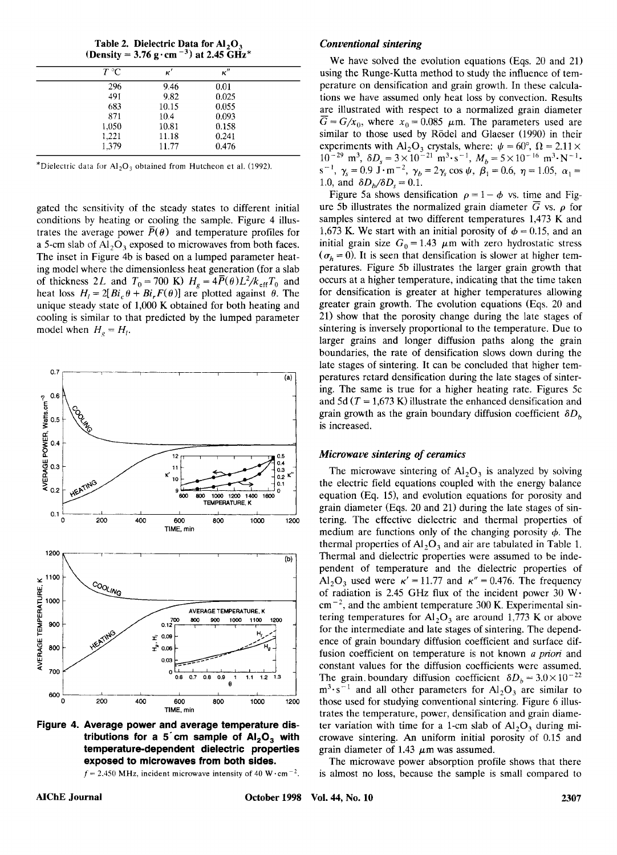| (Density = 3.76 g·cm <sup>-3</sup> ) at 2.45 GHz <sup>*</sup> |       |  |  |  |
|---------------------------------------------------------------|-------|--|--|--|
| к'                                                            | к"    |  |  |  |
| 9.46                                                          | 0.01  |  |  |  |
| 9.82                                                          | 0.025 |  |  |  |
| 10.15                                                         | 0.055 |  |  |  |
| 10.4                                                          | 0.093 |  |  |  |
| 10.81                                                         | 0.158 |  |  |  |
| 11.18                                                         | 0.241 |  |  |  |
| 11.77                                                         | 0.476 |  |  |  |
|                                                               |       |  |  |  |

**Table 2. Dielectric Data for AI,O,** 

\*Dielectric data **fix A1,0,** obtained from Hutcheon et al. (1992)

gated the sensitivity of the steady states to different initial conditions by heating or cooling the sample. Figure 4 illustrates the average power  $\bar{P}(\theta)$  and temperature profiles for a 5-cm slab of  $Al_2O_3$  exposed to microwaves from both faces. The inset in Figure 4b is based on a lumped parameter heating model where the dimensionless heat generation (for a slab of thickness 2L and  $T_0 = 700$  K)  $H_g = 4\overline{P}(\theta)L^2/k_{\text{eff}}T_0$  and heat loss  $H_1 = 2[Bi_c \theta + Bi_r F(\theta)]$  are plotted against  $\theta$ . The unique steady state of 1,OOO **K** obtained for both heating and cooling is similar to that predicted by the lumped parameter model when  $H_{\rho} = H_{I}$ .



**Figure 4. Average power and average temperature distributions for a 5.cm sample of AI,O, with temperature-dependent dielectric properties exposed to microwaves from both sides.** 

 $f = 2.450$  MHz, incident microwave intensity of 40 W $\cdot$ cm<sup>-2</sup>.

#### *Conventional sintering*

**able 2. Dielectric Data for Al<sub>2</sub>O<sub>3</sub>** *Conventional sintering***<br>**  $\frac{T^{\circ}\text{C}}{T^{\circ}\text{C}} = \frac{\kappa'}{9.46} = \frac{9.46}{9.46} = \frac{0.01}{296}$ *Me* **have solved the evolution equations (Eqs. 20 and 21)<br> \frac{1}{T^{\circ}\text{C}} = \frac{9.46}{9.46} = \frac{ Conventional sintering**<br> **K K K K K K zy**<br> **K K zy**<br> **K K K zy**<br> **K zy**<br> **K zy**<br> **EXPLEDCA and 21 at** <br> **EXPLEDCA and 21 at** <br> **EXPLEDCA at** <br> **EXPLEDCA at** <br> **EXPLEDCA at** <br> **EXPL** *I Conventional sintering*<br> **II** *We have solved the evolution equations (Eqs. 20 and 21)*<br> *II* using the Runge-Kutta method to study the influence of temperature on densification and grain growth. In these calcula-We have solved the evolution equations (Eqs. 20 and 21) using the Runge-Kutta method to study the influence of temperature on densification and grain growth. In these calculations we have assumed only heat loss by convection. Results are illustrated with respect to a normalized grain diameter  $\overline{G} = G/x_0$ , where  $x_0 = 0.085$   $\mu$ m. The parameters used are similar to those used by Rödel and Glaeser (1990) in their experiments with  $AI_2O_3$  crystals, where:  $\psi = 60^\circ$ ,  $\Omega = 2.11 \times$  $10^{-29}$  m<sup>3</sup>,  $\delta D_s = 3 \times 10^{-21}$  m<sup>3</sup>·s<sup>-1</sup>,  $M_b = 5 \times 10^{-16}$  m<sup>3</sup>·N<sup>-1</sup>·  $s^{-1}$ ,  $\gamma_s = 0.9 \text{ J} \cdot \text{m}^{-2}$ ,  $\gamma_b = 2\gamma_s \cos \psi$ ,  $\beta_1 = 0.6$ ,  $\eta = 1.05$ ,  $\alpha_1 = 0.6$ 1.0, and  $\delta D_b/\delta D_s = 0.1$ .

Iarger grains and longer diffusion paths along the grain<br>boundaries, the rate of densification slows down during the<br>late stages of sintering. It can be concluded that higher tem-<br>peratures retard densification during the 0.7 atternation of the stages of sintering. It can be concluded that higher temperatures retard densitication during the late stages of sintering. The same is true for a higher heating rate. Figures 5c and 5d  $(T = 1.673 \text{$ Figure 5a shows densification  $\rho = 1 - \phi$  vs. time and Figure 5b illustrates the normalized grain diameter  $\overline{G}$  vs.  $\rho$  for samples sintered at two different temperatures 1,473 **K** and 1,673 K. We start with an initial porosity of  $\phi = 0.15$ , and an initial grain size  $G_0 = 1.43 \mu m$  with zero hydrostatic stress  $\sigma_h = 0$ ). It is seen that densification is slower at higher temperatures. Figure 5b illustrates the larger grain growth that occurs at a higher temperature, indicating that the time taken for densification is greater at higher temperatures allowing greater grain growth. The evolution equations (Eqs. 20 and 21) show that the porosity change during the late stages of sintering is inversely proportional to the temperature. Due to larger grains and longer diffusion paths along the grain boundaries, the rate of densification slows down during the late stages of sintering. It can be concluded that higher temperatures retard densification during the late stages of sintering. The same is true for a higher heating rate. Figures 5c and 5d  $(T = 1,673 \text{ K})$  illustrate the enhanced densification and grain growth as the grain boundary diffusion coefficient  $\delta D<sub>b</sub>$ is increased.

#### *Microwave sintering* **of** *ceramics*

The microwave sintering of  $Al_2O_3$  is analyzed by solving the electric field equations coupled with the energy balance equation (Eq. 15), and evolution equations for porosity and grain diameter (Eqs. 20 and 21) during the late stages of sintering. The effective dielectric and thermal properties of medium are functions only of the changing porosity  $\phi$ . The thermal properties of *AI,O,* and air are tabulated in Table 1. Thermal and dielectric properties were assumed to be independent of temperature and the dielectric properties of  $Al_2O_3$  used were  $\kappa' = 11.77$  and  $\kappa'' = 0.476$ . The frequency of radiation is 2.45 GHz flux of the incident power 30 W $\cdot$ cm-', and the ambient temperature 300 **K.** Experimental sintering temperatures for *AI,O,* are around 1,773 K or above for the intermediate and late stages of sintering. The dependence of grain boundary diffusion coefficient and surface diffusion coefficient on temperature is not known *a priori* and constant values for the diffusion coefficients were assumed. The grain boundary diffusion coefficient  $\delta D_h = 3.0 \times 10^{-22}$  $m^3 \cdot s^{-1}$  and all other parameters for  $Al_2O_3$  are similar to those used for studying conventional sintering. Figure 6 illustrates the temperature, power, densification and grain diameter variation with time for a 1-cm slab of  $A1_2O_3$  during microwave sintering. **An** uniform initial porosity of 0.15 and grain diameter of 1.43  $\mu$ m was assumed.

The microwave power absorption profile shows that there is almost no loss, because the sample is small compared to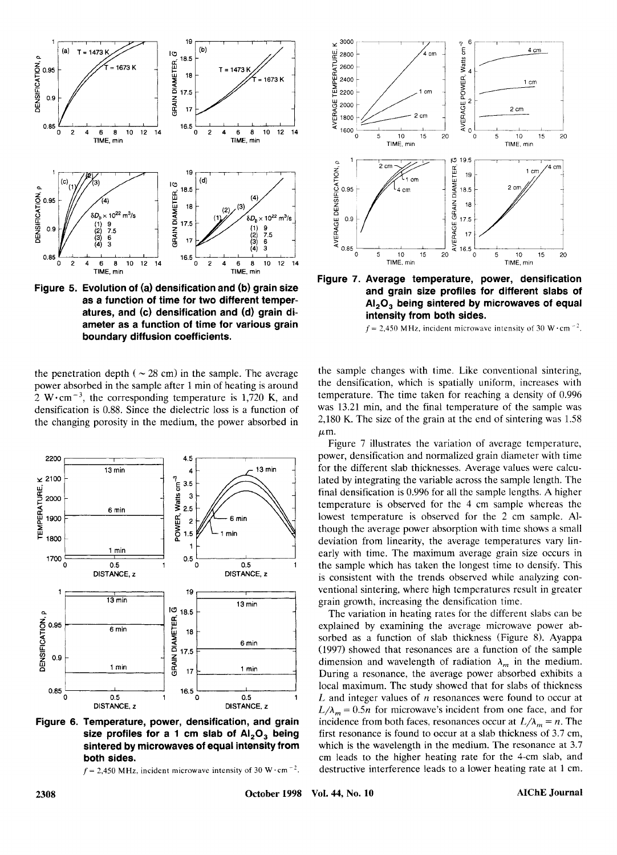

**Figure 5. Evolution of (a) densification and (b) grain size as a function of time for two different temperatures, and (c) densification and (d) grain diameter as a function of time for various grain boundary diffusion coefficients.** 

the penetration depth ( $\sim$  28 cm) in the sample. The average power absorbed in the sample after 1 min of heating is around 2 W $\cdot$ cm<sup>-3</sup>, the corresponding temperature is 1,720 K, and densification is 0.88. Since the dielectric loss is a function of the changing porosity in the medium, the power absorbed in



**Figure 6. Temperature, power, densification, and grain size profiles for a 1 cm slab of** AI,O, **being sintered by microwaves of equal intensity from both sides.** 



**E.** a 10 12 14<br>
ME. min<br>
ME. min<br> **E. d. min**<br> **E. d. min**<br> **E. d. min**<br> **E. d. min**<br> **E. min**<br> **E. d. min**<br> **E. d. min**<br> **E. min**<br> **E. min**<br> **E. min**<br> **E. min**<br> **E. min**<br> **E. min**<br> **E. min**<br> **E. min**<br> **E. min**<br> **E. min Figure 7. Average temperature, power, densification and grain size profiles for different slabs of**  AI,03 **being sintered by microwaves of equal intensity from both sides.** 

 $f = 2,450$  MHz, incident microwave intensity of 30 W $\cdot$ cm<sup>-2</sup>.

the sample changes with time. Like conventional sintering, the densification, which is spatially uniform, increases with temperature. The time taken for reaching a density of 0.996 was 13.21 min, and the final temperature of the sample was 2,180 K. The size of the grain at the end of sintering was 1.58  $\mu$ m.

13 min for the different slab thicknesses. Average values were calculated by integrating the variable across the sample lengths. A higher<br>
formin final densification is 0.996 for all the sample engths. A higher<br>
temperatu Figure 7 illustrates the variation of average temperature, power, densification and normalized grain diameter with time for the different slab thicknesses. Average values were calculated by integrating the variable across the sample length. The final densification is 0.996 for all the sample lengths. A higher temperature is observed for the 4 cm sample whereas the lowest temperature is observed for the 2 cm sample. Although the average power absorption with time shows a small deviation from linearity, the average temperatures vary linearly with time. The maximum average grain size occurs in the sample which has taken the longest time to densify. This is consistent with the trends observed while analyzing conventional sintering, where high temperatures result in greater grain growth, increasing the densification time.

**<sup>a</sup>***6 zyxwvutsrqponmlkjihgfedcbaZYXWVUTSRQPONMLKJIHGFEDCBA* <sup>17</sup> **Temperature, power, densification, and grain** incidence from both faces, resonances occur at  $L/\lambda_m = n$ . The size profiles for a 1 cm slab of  $Al_2O_3$  being first resonance is found to occur at a slab thickness of 3.7 cm, The variation in heating rates for the different slabs can be explained by examining the average microwave power absorbed as a function of slab thickness (Figure 8). Ayappa (1997) showed that resonances are a function of the sample dimension and wavelength of radiation  $\lambda_m$  in the medium. During a resonance, the average power absorbed exhibits a  $L/\lambda_m = 0.5n$  for microwave's incident from one face, and for L and integer values of *n* resonances were found to occur local maximum. The study showed that for slabs of thickness b<sub>b</sub><br>aale<br>m.<br>ass<br>at<br>arcon incidence from both faces, resonances occur at  $L/\lambda_m = n$ . The first resonance is found to occur at a slab thickness of 3.7 cm, which is the wavelength in the medium. The resonance at 3.7 cm leads to the higher heating rate for the 4-cm slab, and destructive interference leads to a lower heating rate at 1 cm.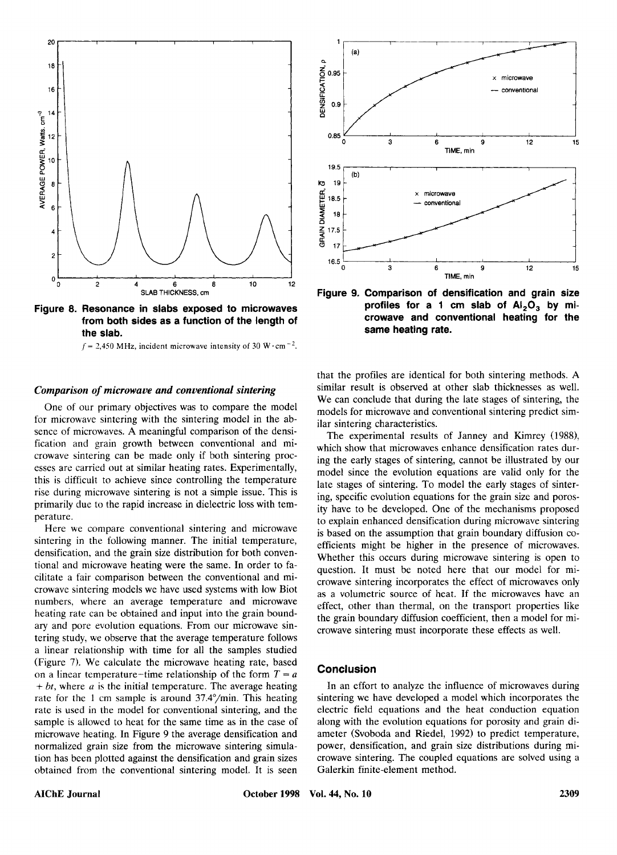



#### *Comparison of microwave and conventional sintering*

One of our primary objectives was to compare the model for microwave sintering with the sintering model in the absence of microwaves. **A** meaningful comparison of the densification and grain growth between conventional and microwave sintering can be made only if both sintering processes are carried out at similar heating rates. Experimentally, this is difficult to achieve since controlling the temperature rise during microwave sintering is not a simple issue. This is primarily due to the rapid increase in dielectric loss with temperature.

Here we compare conventional sintering and microwave sintering in the following manner. The initial temperature, densification, and the grain size distribution for both conventional and microwave heating were the same. In order to facilitate a fair comparison between the conventional and microwave sintering models we have used systems with low Biot numbers, where an average temperature and microwave heating rate can be obtained and input into the grain boundary and pore evolution equations. From our microwave sintering study, we observe that the average temperature follows a linear relationship with time for all the samples studied (Figure 7). We calculate the microwave heating rate, based on a linear temperature-time relationship of the form  $T = a$  $+ bt$ , where *a* is the initial temperature. The average heating rate for the 1 cm sample is around 37.4"/min. This heating rate is used in the model for conventional sintering, and the sample is allowed to heat for the same time as in the case of microwave heating. In Figure 9 the average densification and normalized grain size from the microwave sintering simulation has been plotted against the densification and grain sizes obtained from the conventional sintering model. It is seen



Figure 9. Comparison of densification and grain size<br> **Figure 9. Comparison of densification and grain size**<br> **Figure 9. Comparison of densification and grain size**<br> **Figure 9. Comparison of densification and grain size**<br>  $^{16.5}$ <br>  $^{4}$ <br>  $^{4}$ <br>  $^{5}$ <br>  $^{5}$ <br>  $^{5}$ <br>  $^{6}$ <br>  $^{6}$ <br>  $^{6}$ <br>  $^{6}$ <br>  $^{6}$ <br>  $^{6}$ <br>  $^{6}$ <br>  $^{6}$ <br>  $^{6}$ <br>  $^{6}$ <br>  $^{6}$ <br>  $^{6}$ <br>  $^{6}$ <br>  $^{6}$ <br>  $^{6}$ <br>  $^{6}$ <br>  $^{6}$ <br>  $^{6}$ <br>  $^{6}$ <br>  $^{6}$ <br>  $^{6}$ <br>  $^{6}$ <br>  $^{6}$ <br>  $^{6}$ <br>  $^{6}$ <br> **Figure 9. Comparison of densification and grain size profiles for a 1 cm slab of AI,O, by microwave and conventional heating for the same heating rate.** 

that the profiles are identical for both sintering methods. **A**  similar result is observed at other slab thicknesses as well. We can conclude that during the late stages of sintering, the models for microwave and conventional sintering predict similar sintering characteristics.

The experimental results of Janney and Kimrey (1988), which show that microwaves enhance densification rates during the early stages of sintering, cannot be illustrated by our model since the evolution equations are valid only for the late stages of sintering. To model the early stages of sintering, specific evolution equations for the grain size and porosity have to be developed. One of the mechanisms proposed to explain enhanced densification during microwave sintering is based on the assumption that grain boundary diffusion coefficients might be higher in the presence of microwaves. Whether this occurs during microwave sintering is open to question. It must be noted here that our model for microwave sintering incorporates the effect of microwaves only as a volumetric source of heat. If the microwaves have an effect, other than thermal, on the transport properties like the grain boundary diffusion coefficient, then a model for microwave sintering must incorporate these effects as well.

# **Conclusion**

In an effort to analyze the influence of microwaves during sintering we have developed a model which incorporates the electric field equations and the heat conduction equation along with the evolution equations for porosity and grain diameter (Svoboda and Riedel, 1992) to predict temperature, power, densification, and grain size distributions during microwave sintering. The coupled equations are solved using a Galerkin finite-element method.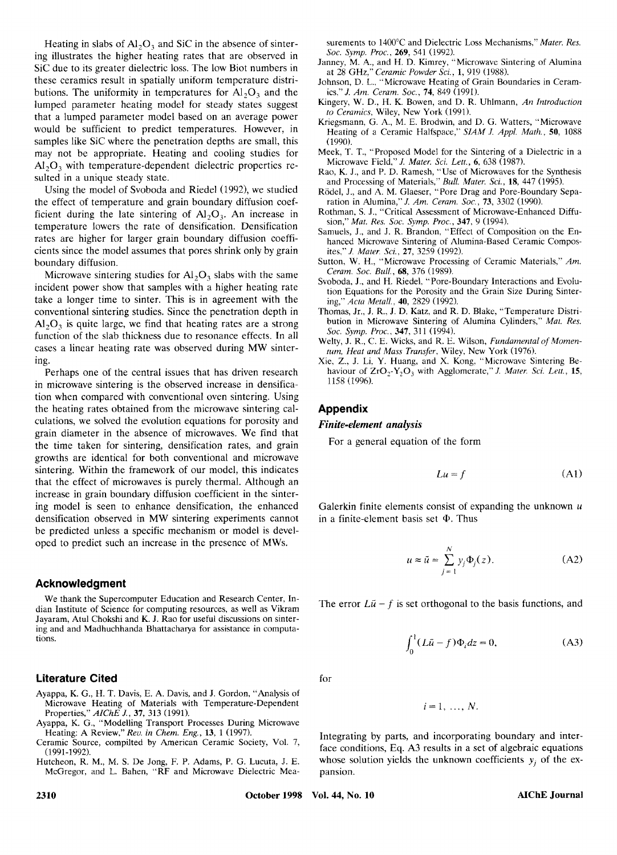Heating in slabs of  $AI_2O_3$  and SiC in the absence of sinter-<br>g illustrates the higher heating rates that are observed in *Soc. Symp. Proc.*, 269, 541 (1992).<br>C due to its greater dielectric loss. The low Biot numbers in ing illustrates the higher heating rates that are observed in Sic due to its greater dielectric loss. The low Biot numbers in these ceramics result in spatially uniform temperature distributions. The uniformity in temperatures for  $Al_2O_3$  and the lumped parameter heating model for steady states suggest that a lumped parameter model based on an average power would be sufficient to predict temperatures. However, in samples like SiC where the penetration depths are small, this may not be appropriate. Heating and cooling studies for *N,O,* with temperature-dependent dielectric properties resulted in a unique steady state.

Using the model of Svoboda and Riedel (1992), we studied the effect of temperature and grain boundary diffusion coefficient during the late sintering of  $A1_2O_3$ . An increase in temperature lowers the rate of densification. Densification rates are higher for larger grain boundary diffusion coefficients since the model assumes that pores shrink only by grain boundary diffusion.

Microwave sintering studies for *AI,O,* slabs with the same incident power show that samples with a higher heating rate take a longer time to sinter. This is in agreement with the conventional sintering studies. Since the penetration depth in *A,O,* is quite large, we find that heating rates are a strong function of the slab thickness due to resonance effects. In all cases a linear heating rate was observed during MW sintering.

Perhaps one of the central issues that has driven research in microwave sintering is the observed increase in densification when compared with conventional oven sintering. Using the heating rates obtained from the microwave sintering calculations. we solved the evolution equations for porosity and grain diameter in the absence of microwaves. We find that the time taken for sintering, densification rates, and grain growths are identical for both conventional and microwave sintering. Within the framework of our model, this indicates that the effect of microwaves is purely thermal. Although an increase in grain boundary diffusion coefficient in the sintering model is seen to enhance densification, the enhanced densification observed in MW sintering experiments cannot be predicted unless a specific mechanism or model is develsintering. Within the framework of our model, this indicates<br>that the effect of microwaves is purely thermal. Although an<br>increase in grain boundary diffusion coefficient in the sinter-<br>ing model is seen to enhance densif

#### **Acknowledgment**

We thank the Supercomputer Education and Research Center, Indian Institute of Science for computing resources, as well as Vikram dian Institute of Science for Compution and Research Center, In-<br>
We thank the Supercomputer Education and Research Center, In-<br>
Jayaram, Atul Chokshi and K. J. Rao for useful discussions on sinter-<br>
Jayaram, Atul Chokshi Jayaram, Atul Chokshi and **K.** J. Rao for useful discussions on sintering and and Madhuchhanda Bhattacharya for assistance in computations.

#### **Literature Cited**

- Ayappa, K. G., H. T. Davis, E. A. Davis, and J. Gordon, "Analysis of Microwave Heating of Materials with Temperature-Dependent Properties," *AIChE J.,* **37,** 313 (1991).
- Ayappa, K. G., "Modelling Transport Processes During Microwave Heating: A Review," Rev. in Chem. Eng., 13, 1 (1997).
- Ceramic Source, compilted by American Ceramic Society, Vol. 7, (1991-1992).
- Hutcheon, R. M., M. **S.** De Jong, F. P. Adams, P. G. Lucuta, J. E. McGregor, and L. Bahen, "RF and Microwave Dielectric Mea-

surements to 1400°C and Dielectric Loss Mechanisms," *Mater. Res. Soc. Symp. Proc.*, **269**, 541 (1992).<br>nney, M. A., and H. D. Kimrey, "Microwave Sintering of Alumina *Soc. Symp. Proc.,* **269,** 541 (1992).

- Janney, M. **A,,** and H. D. Kimrey, "Microwave Siritering of Alumina at 28 *GHz,"Cerumic Powder Sci..* **1,** 919 (1988). surements to 1400°C and Dielectric Loss Mechanisms," *Mater. Res.*<br>Soc. *Symp. Proc.*, **269**, 541 (1992).<br>nney, M. A., and H. D. Kimrey, "Microwave Sintering of Alumina<br>at 28 GHz," *Ceramic Powder Sci.*, **1**, 919 (1988).<br>h
- Johnson, D. L., "Microwave Heating of Grain Boundaries in Ceram-<br>ics," J. Am. Ceram. Soc., 74, 849 (1991).
- Kingery, W. D., **H.** K. Bowen, and D. R. Uhlmann, *An Introduction*  to *Ceramics,* Wiley, New York (1991).
- Kriegsmann, G. A., M. E. Brodwin, and D. G. Watters, "Microwave Heating of a Ceramic Halfspace," SIAM J. Appl. Math., 50, 1088 at 28 GHz," *Ceramic Powder Sci.*, 1, 919 (1988).<br>
hnson, D. L., "Microwave Heating of Grain Boundaries in Ceram-<br>
ics," *J. Am. Ceram. Soc.*, 74, 849 (1991).<br>
ngery, W. D., H. K. Bowen, and D. R. Uhlmann, *An Introduction* (1990).
- Meek, T. T., "Proposed Model for the Sintering of a Dielectric in a Microwave Field," *J. Mater.* **Sci.** *Lett.,* **6,** 638 (1987).
- Rao, K. J., and P. D. Ramesh, "Use of Microwaves for the Synthesis and Processing of Materials," *Bull. Muter.* **Sci., 18,** 447 (1995).
- RGdel, **J.,** and A. M. Glaeser, "Pore Drag and Pore-Boundary Separation in Alumina," *J. Am. Cerum.* **SOC., 73,** 3302 (1990).
- Rothman, *S.* J., "Critical Assessment of Microwave-Enhanced Diffusion," *Mut. Hes.* Soc. *Symp. Proc.,* **347,** 9 (1994).
- Samuels, J., and J. R. Brandon, "Effect of Composition on the Enhanced Microwave Sintering of Alumina-Based Ceramic Composites," *J. Muter. Sci.,* **27,** 3259 (1992).
- Sutton, W. H., "Microwave Processing of Ceramic Materials," *Am. Ceram.* Soc. *BUN.,* **68,** 376 (1989).
- Svoboda, J., and H. Riedel, "Pore-Boundary Interactions and Evolution Equations for the Porosity and the Grain Size During Sintering," *Actu Metall..* **40,** 2829 (1992).
- Thomas, Jr., J. R., J. D. Katz, and R. D. Blake, "Temperature Distribution in Microwave Sintering of Alumina Cylinders," *Mat. Res.*  Soc. *Symp. Proc.,* **347.** 31 1 (1994).
- Welty, **J.** R., C. E. Wicks, and R. E. Wilson, *Fundamental of Momentum, Heat and Mass Transfer.* Wiley, New York (1976).
- Xie, Z., J. Li, Y. Huang, and **X.** Kong, "Microwave Sintering Behaviour of  $ZrO_2-Y_2O_3$  with Agglomerate," *J. Mater. Sci. Lett.*, 15, 1158 (1996).

# **Appendix**

#### *Finite-element* **analysis**

For a general equation of the form

$$
Lu = f \tag{A1}
$$

Galerkin finite elements consist of expanding the unknown  $u$ in a finite-element basis set @. Thus

$$
u \approx \tilde{u} = \sum_{j=1}^{N} y_j \Phi_j(z).
$$
 (A2)

The error  $L\tilde{u} - f$  is set orthogonal to the basis functions, and

$$
\int_0^1 (L\tilde{u} - f)\Phi_i dz = 0,
$$
 (A3)

for

$$
i=1,\ldots,N.
$$

**Example:** A Review, E. A. Davis, and J. Gordon, "Analysis of<br>
Microwave Heating of Materials with Temperature-Dependent<br>
Properties," *AIChE J.*, 37, 313 (1991).<br> *Rep., M. Ca., "Modelling Transport Processes During Micro* Integrating by parts, and incorporating boundary and interface conditions, Eq. A3 results in a set of algebraic equations whose solution yields the unknown coefficients  $y_i$  of the expansion.

**2310 October 1998 Vol. 44, No. 10 AIChE Journal**